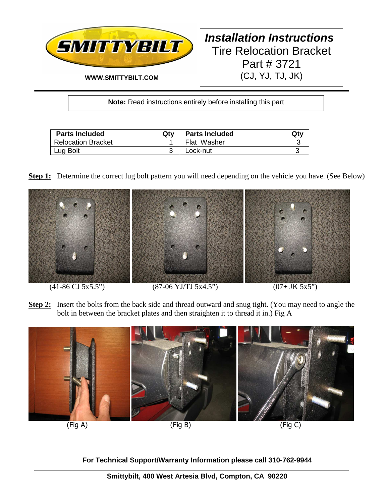

# **Installation Instructions**  Tire Relocation Bracket Part # 3721 (CJ, YJ, TJ, JK)

**Note:** Read instructions entirely before installing this part

| <b>Parts Included</b>     | Qtv | <b>Parts Included</b> | Qtv |
|---------------------------|-----|-----------------------|-----|
| <b>Relocation Bracket</b> |     | Flat Washer           |     |
| Lug Bolt                  |     | Lock-nut              |     |

**Step 1:** Determine the correct lug bolt pattern you will need depending on the vehicle you have. (See Below)



### $(41-86 \text{ CJ } 5x5.5")$   $(87-06 \text{ YJ/TJ } 5x4.5")$   $(07+ \text{ JK } 5x5")$

**Step 2:** Insert the bolts from the back side and thread outward and snug tight. (You may need to angle the bolt in between the bracket plates and then straighten it to thread it in.) Fig A



**For Technical Support/Warranty Information please call 310-762-9944**